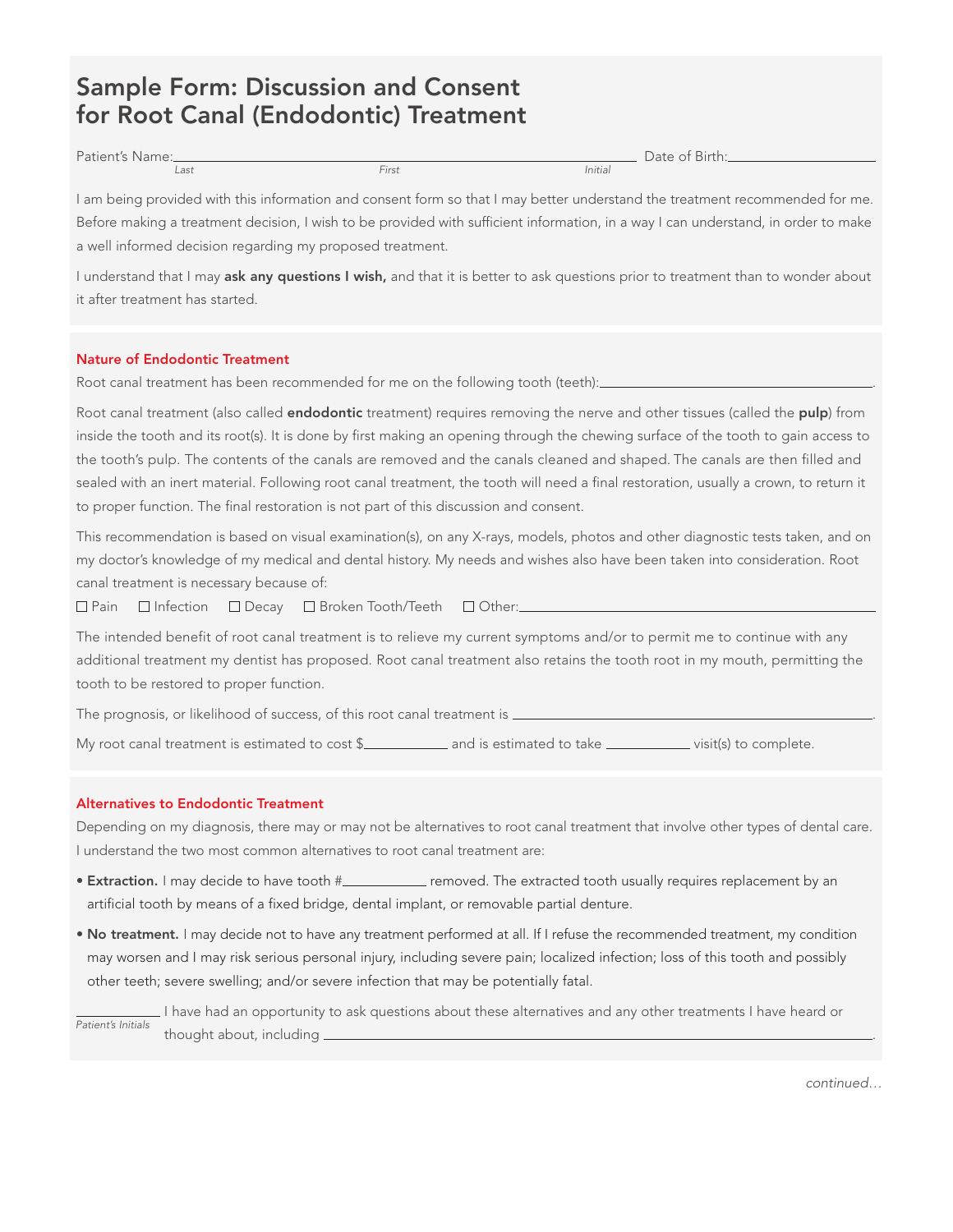# Sample Form: Discussion and Consent for Root Canal (Endodontic) Treatment

| Patient's Name: |               | $\sim$<br>Date of $'$<br>: Birth: |
|-----------------|---------------|-----------------------------------|
| Last            | --<br>$H$ rst | Initial                           |

I am being provided with this information and consent form so that I may better understand the treatment recommended for me. Before making a treatment decision, I wish to be provided with sufficient information, in a way I can understand, in order to make a well informed decision regarding my proposed treatment.

I understand that I may ask any questions I wish, and that it is better to ask questions prior to treatment than to wonder about it after treatment has started.

# Nature of Endodontic Treatment

Root canal treatment has been recommended for me on the following tooth (teeth):

Root canal treatment (also called **endodontic** treatment) requires removing the nerve and other tissues (called the pulp) from inside the tooth and its root(s). It is done by first making an opening through the chewing surface of the tooth to gain access to the tooth's pulp. The contents of the canals are removed and the canals cleaned and shaped. The canals are then filled and sealed with an inert material. Following root canal treatment, the tooth will need a final restoration, usually a crown, to return it to proper function. The final restoration is not part of this discussion and consent.

This recommendation is based on visual examination(s), on any X-rays, models, photos and other diagnostic tests taken, and on my doctor's knowledge of my medical and dental history. My needs and wishes also have been taken into consideration. Root canal treatment is necessary because of:

□ Pain □ Infection □ Decay □ Broken Tooth/Teeth □ Other:

The intended benefit of root canal treatment is to relieve my current symptoms and/or to permit me to continue with any additional treatment my dentist has proposed. Root canal treatment also retains the tooth root in my mouth, permitting the tooth to be restored to proper function.

The prognosis, or likelihood of success, of this root canal treatment is  $\equiv$ 

My root canal treatment is estimated to cost \$\_\_\_\_\_\_\_\_\_\_\_ and is estimated to take \_\_\_\_\_\_\_\_\_\_\_ visit(s) to complete.

## Alternatives to Endodontic Treatment

Depending on my diagnosis, there may or may not be alternatives to root canal treatment that involve other types of dental care. I understand the two most common alternatives to root canal treatment are:

- Extraction. I may decide to have tooth # removed. The extracted tooth usually requires replacement by an artificial tooth by means of a fixed bridge, dental implant, or removable partial denture.
- No treatment. I may decide not to have any treatment performed at all. If I refuse the recommended treatment, my condition may worsen and I may risk serious personal injury, including severe pain; localized infection; loss of this tooth and possibly other teeth; severe swelling; and/or severe infection that may be potentially fatal.

I have had an opportunity to ask questions about these alternatives and any other treatments I have heard or thought about, including \_ Patient's Initials

continued…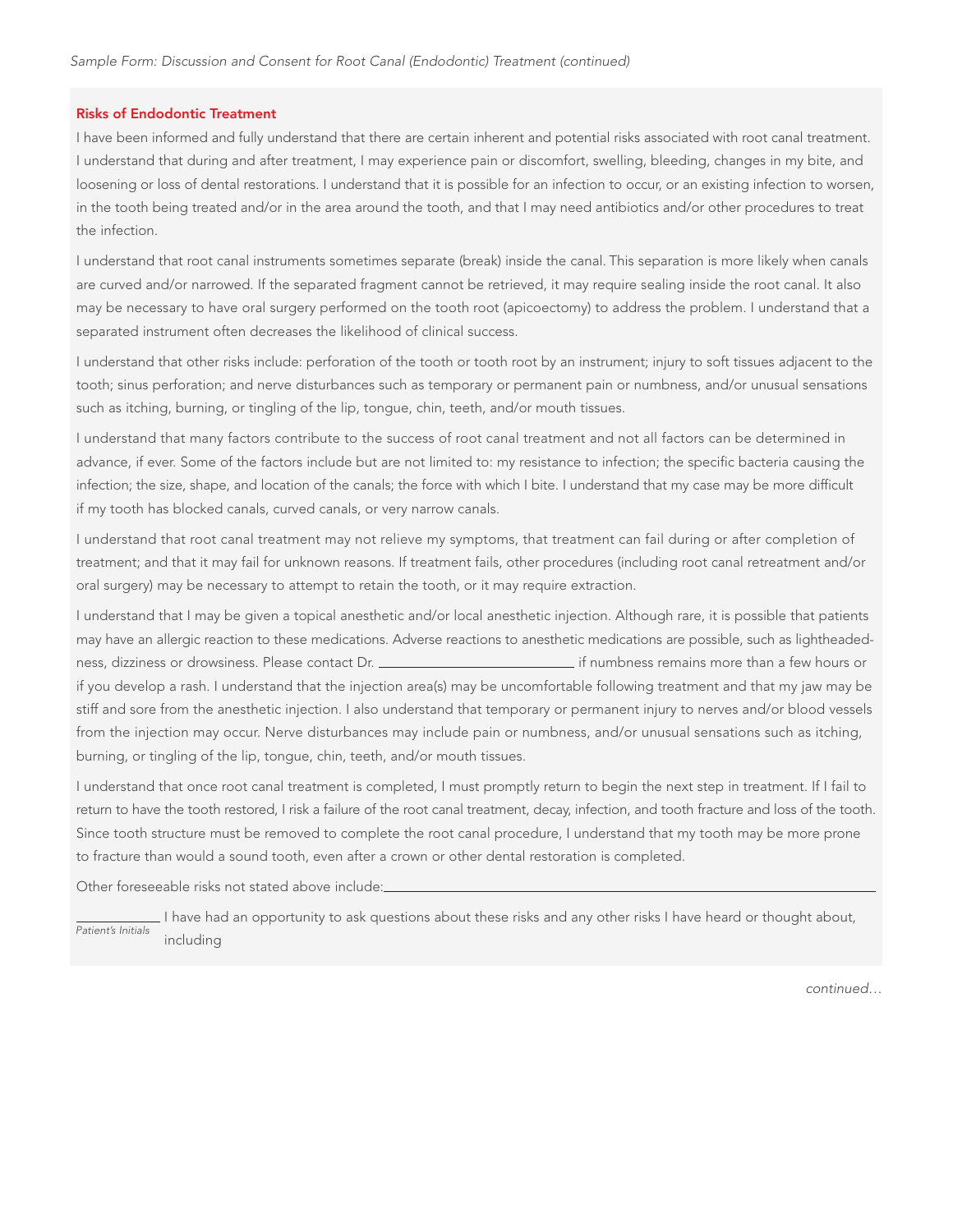## Risks of Endodontic Treatment

I have been informed and fully understand that there are certain inherent and potential risks associated with root canal treatment. I understand that during and after treatment, I may experience pain or discomfort, swelling, bleeding, changes in my bite, and loosening or loss of dental restorations. I understand that it is possible for an infection to occur, or an existing infection to worsen, in the tooth being treated and/or in the area around the tooth, and that I may need antibiotics and/or other procedures to treat the infection.

I understand that root canal instruments sometimes separate (break) inside the canal. This separation is more likely when canals are curved and/or narrowed. If the separated fragment cannot be retrieved, it may require sealing inside the root canal. It also may be necessary to have oral surgery performed on the tooth root (apicoectomy) to address the problem. I understand that a separated instrument often decreases the likelihood of clinical success.

I understand that other risks include: perforation of the tooth or tooth root by an instrument; injury to soft tissues adjacent to the tooth; sinus perforation; and nerve disturbances such as temporary or permanent pain or numbness, and/or unusual sensations such as itching, burning, or tingling of the lip, tongue, chin, teeth, and/or mouth tissues.

I understand that many factors contribute to the success of root canal treatment and not all factors can be determined in advance, if ever. Some of the factors include but are not limited to: my resistance to infection; the specific bacteria causing the infection; the size, shape, and location of the canals; the force with which I bite. I understand that my case may be more difficult if my tooth has blocked canals, curved canals, or very narrow canals.

I understand that root canal treatment may not relieve my symptoms, that treatment can fail during or after completion of treatment; and that it may fail for unknown reasons. If treatment fails, other procedures (including root canal retreatment and/or oral surgery) may be necessary to attempt to retain the tooth, or it may require extraction.

I understand that I may be given a topical anesthetic and/or local anesthetic injection. Although rare, it is possible that patients may have an allergic reaction to these medications. Adverse reactions to anesthetic medications are possible, such as lightheadedness, dizziness or drowsiness. Please contact Dr. **inter all and the mateur of the mateur of the state of the st** if you develop a rash. I understand that the injection area(s) may be uncomfortable following treatment and that my jaw may be stiff and sore from the anesthetic injection. I also understand that temporary or permanent injury to nerves and/or blood vessels from the injection may occur. Nerve disturbances may include pain or numbness, and/or unusual sensations such as itching, burning, or tingling of the lip, tongue, chin, teeth, and/or mouth tissues.

I understand that once root canal treatment is completed, I must promptly return to begin the next step in treatment. If I fail to return to have the tooth restored, I risk a failure of the root canal treatment, decay, infection, and tooth fracture and loss of the tooth. Since tooth structure must be removed to complete the root canal procedure, I understand that my tooth may be more prone to fracture than would a sound tooth, even after a crown or other dental restoration is completed.

Other foreseeable risks not stated above include:

 I have had an opportunity to ask questions about these risks and any other risks I have heard or thought about, including Patient's Initials

continued…